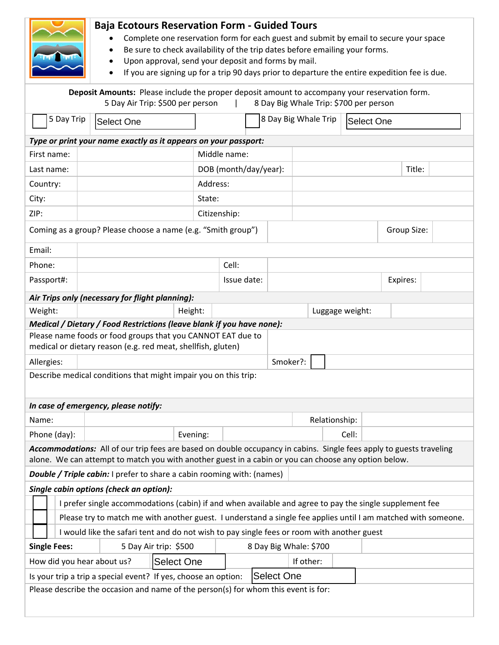|                                                                                                                                                                                                                             |                                                                                                                             | <b>Baja Ecotours Reservation Form - Guided Tours</b><br>Complete one reservation form for each guest and submit by email to secure your space<br>Be sure to check availability of the trip dates before emailing your forms.<br>Upon approval, send your deposit and forms by mail.<br>If you are signing up for a trip 90 days prior to departure the entire expedition fee is due. |                        |  |        |                      |                 |          |             |  |  |
|-----------------------------------------------------------------------------------------------------------------------------------------------------------------------------------------------------------------------------|-----------------------------------------------------------------------------------------------------------------------------|--------------------------------------------------------------------------------------------------------------------------------------------------------------------------------------------------------------------------------------------------------------------------------------------------------------------------------------------------------------------------------------|------------------------|--|--------|----------------------|-----------------|----------|-------------|--|--|
| Deposit Amounts: Please include the proper deposit amount to accompany your reservation form.<br>8 Day Big Whale Trip: \$700 per person<br>5 Day Air Trip: \$500 per person                                                 |                                                                                                                             |                                                                                                                                                                                                                                                                                                                                                                                      |                        |  |        |                      |                 |          |             |  |  |
| 5 Day Trip<br>Select One                                                                                                                                                                                                    |                                                                                                                             |                                                                                                                                                                                                                                                                                                                                                                                      |                        |  |        | 8 Day Big Whale Trip | lSelect One     |          |             |  |  |
|                                                                                                                                                                                                                             | Type or print your name exactly as it appears on your passport:                                                             |                                                                                                                                                                                                                                                                                                                                                                                      |                        |  |        |                      |                 |          |             |  |  |
| First name:                                                                                                                                                                                                                 |                                                                                                                             | Middle name:                                                                                                                                                                                                                                                                                                                                                                         |                        |  |        |                      |                 |          |             |  |  |
| Last name:                                                                                                                                                                                                                  | DOB (month/day/year):                                                                                                       |                                                                                                                                                                                                                                                                                                                                                                                      |                        |  | Title: |                      |                 |          |             |  |  |
| Country:                                                                                                                                                                                                                    | Address:                                                                                                                    |                                                                                                                                                                                                                                                                                                                                                                                      |                        |  |        |                      |                 |          |             |  |  |
| City:                                                                                                                                                                                                                       |                                                                                                                             | State:                                                                                                                                                                                                                                                                                                                                                                               |                        |  |        |                      |                 |          |             |  |  |
| ZIP:                                                                                                                                                                                                                        | Citizenship:                                                                                                                |                                                                                                                                                                                                                                                                                                                                                                                      |                        |  |        |                      |                 |          |             |  |  |
|                                                                                                                                                                                                                             | Coming as a group? Please choose a name (e.g. "Smith group")                                                                |                                                                                                                                                                                                                                                                                                                                                                                      |                        |  |        |                      |                 |          | Group Size: |  |  |
| Email:                                                                                                                                                                                                                      |                                                                                                                             |                                                                                                                                                                                                                                                                                                                                                                                      |                        |  |        |                      |                 |          |             |  |  |
| Phone:                                                                                                                                                                                                                      |                                                                                                                             |                                                                                                                                                                                                                                                                                                                                                                                      | Cell:                  |  |        |                      |                 |          |             |  |  |
| Passport#:                                                                                                                                                                                                                  |                                                                                                                             |                                                                                                                                                                                                                                                                                                                                                                                      | Issue date:            |  |        |                      |                 | Expires: |             |  |  |
| Air Trips only (necessary for flight planning):                                                                                                                                                                             |                                                                                                                             |                                                                                                                                                                                                                                                                                                                                                                                      |                        |  |        |                      |                 |          |             |  |  |
| Weight:                                                                                                                                                                                                                     |                                                                                                                             | Height:                                                                                                                                                                                                                                                                                                                                                                              |                        |  |        |                      | Luggage weight: |          |             |  |  |
| Medical / Dietary / Food Restrictions (leave blank if you have none):                                                                                                                                                       |                                                                                                                             |                                                                                                                                                                                                                                                                                                                                                                                      |                        |  |        |                      |                 |          |             |  |  |
|                                                                                                                                                                                                                             | Please name foods or food groups that you CANNOT EAT due to<br>medical or dietary reason (e.g. red meat, shellfish, gluten) |                                                                                                                                                                                                                                                                                                                                                                                      |                        |  |        |                      |                 |          |             |  |  |
| Allergies:                                                                                                                                                                                                                  |                                                                                                                             |                                                                                                                                                                                                                                                                                                                                                                                      | Smoker?:               |  |        |                      |                 |          |             |  |  |
| Describe medical conditions that might impair you on this trip:                                                                                                                                                             |                                                                                                                             |                                                                                                                                                                                                                                                                                                                                                                                      |                        |  |        |                      |                 |          |             |  |  |
| In case of emergency, please notify:                                                                                                                                                                                        |                                                                                                                             |                                                                                                                                                                                                                                                                                                                                                                                      |                        |  |        |                      |                 |          |             |  |  |
| Name:                                                                                                                                                                                                                       |                                                                                                                             |                                                                                                                                                                                                                                                                                                                                                                                      |                        |  |        |                      | Relationship:   |          |             |  |  |
| Phone (day):                                                                                                                                                                                                                |                                                                                                                             | Evening:                                                                                                                                                                                                                                                                                                                                                                             |                        |  |        |                      | Cell:           |          |             |  |  |
| Accommodations: All of our trip fees are based on double occupancy in cabins. Single fees apply to guests traveling<br>alone. We can attempt to match you with another guest in a cabin or you can choose any option below. |                                                                                                                             |                                                                                                                                                                                                                                                                                                                                                                                      |                        |  |        |                      |                 |          |             |  |  |
| <b>Double / Triple cabin:</b> I prefer to share a cabin rooming with: (names)                                                                                                                                               |                                                                                                                             |                                                                                                                                                                                                                                                                                                                                                                                      |                        |  |        |                      |                 |          |             |  |  |
| Single cabin options (check an option):                                                                                                                                                                                     |                                                                                                                             |                                                                                                                                                                                                                                                                                                                                                                                      |                        |  |        |                      |                 |          |             |  |  |
| I prefer single accommodations (cabin) if and when available and agree to pay the single supplement fee                                                                                                                     |                                                                                                                             |                                                                                                                                                                                                                                                                                                                                                                                      |                        |  |        |                      |                 |          |             |  |  |
| Please try to match me with another guest. I understand a single fee applies until I am matched with someone.                                                                                                               |                                                                                                                             |                                                                                                                                                                                                                                                                                                                                                                                      |                        |  |        |                      |                 |          |             |  |  |
| I would like the safari tent and do not wish to pay single fees or room with another guest                                                                                                                                  |                                                                                                                             |                                                                                                                                                                                                                                                                                                                                                                                      |                        |  |        |                      |                 |          |             |  |  |
| <b>Single Fees:</b>                                                                                                                                                                                                         |                                                                                                                             | 5 Day Air trip: \$500                                                                                                                                                                                                                                                                                                                                                                | 8 Day Big Whale: \$700 |  |        |                      |                 |          |             |  |  |
| How did you hear about us?                                                                                                                                                                                                  |                                                                                                                             | Select One                                                                                                                                                                                                                                                                                                                                                                           | If other:              |  |        |                      |                 |          |             |  |  |
| <b>Select One</b><br>Is your trip a trip a special event? If yes, choose an option:                                                                                                                                         |                                                                                                                             |                                                                                                                                                                                                                                                                                                                                                                                      |                        |  |        |                      |                 |          |             |  |  |
| Please describe the occasion and name of the person(s) for whom this event is for:                                                                                                                                          |                                                                                                                             |                                                                                                                                                                                                                                                                                                                                                                                      |                        |  |        |                      |                 |          |             |  |  |